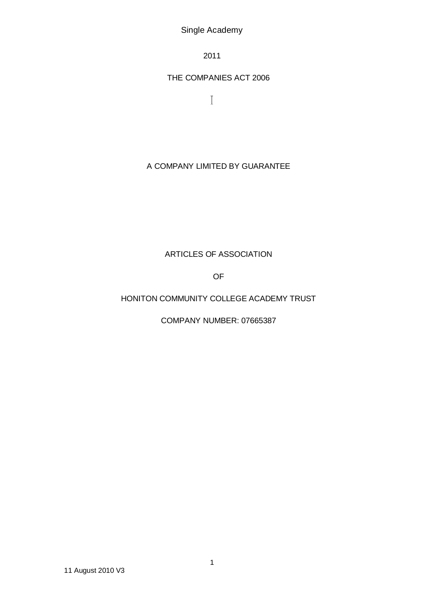Single Academy

2011

# THE COMPANIES ACT 2006

 $\rm I$ 

# A COMPANY LIMITED BY GUARANTEE

# ARTICLES OF ASSOCIATION

OF

# HONITON COMMUNITY COLLEGE ACADEMY TRUST

COMPANY NUMBER: 07665387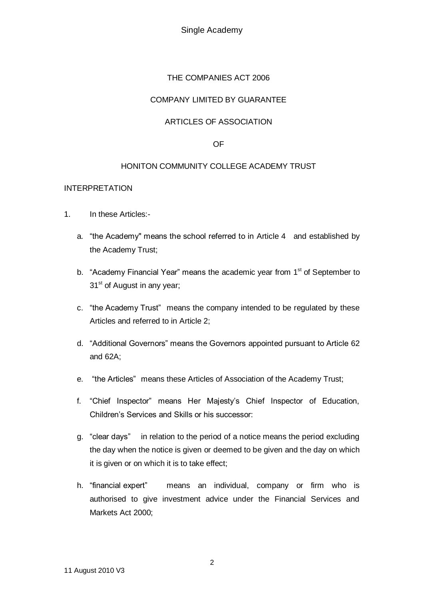Single Academy

## THE COMPANIES ACT 2006

## COMPANY LIMITED BY GUARANTEE

## ARTICLES OF ASSOCIATION

#### OF

#### HONITON COMMUNITY COLLEGE ACADEMY TRUST

#### INTERPRETATION

- 1. In these Articles:
	- a. "the Academy" means the school referred to in Article 4 and established by the Academy Trust;
	- b. "Academy Financial Year" means the academic year from 1<sup>st</sup> of September to 31<sup>st</sup> of August in any year;
	- c. "the Academy Trust" means the company intended to be regulated by these Articles and referred to in Article 2;
	- d. "Additional Governors" means the Governors appointed pursuant to Article 62 and 62A;
	- e. "the Articles" means these Articles of Association of the Academy Trust;
	- f. "Chief Inspector" means Her Majesty's Chief Inspector of Education, Children's Services and Skills or his successor:
	- g. "clear days" in relation to the period of a notice means the period excluding the day when the notice is given or deemed to be given and the day on which it is given or on which it is to take effect;
	- h. "financial expert" means an individual, company or firm who is authorised to give investment advice under the Financial Services and Markets Act 2000;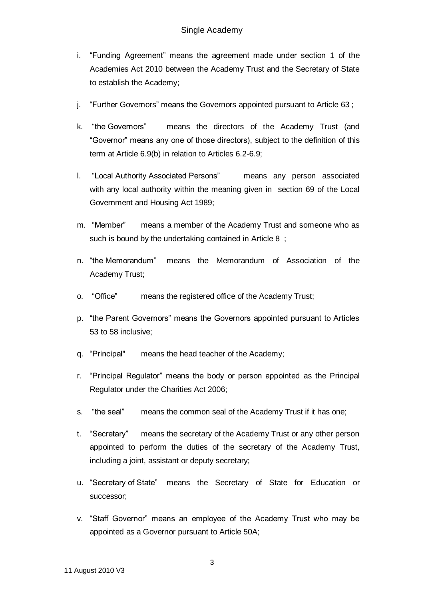- i. "Funding Agreement" means the agreement made under section 1 of the Academies Act 2010 between the Academy Trust and the Secretary of State to establish the Academy;
- j. "Further Governors" means the Governors appointed pursuant to Article 63 ;
- k. "the Governors" means the directors of the Academy Trust (and "Governor" means any one of those directors), subject to the definition of this term at Article 6.9(b) in relation to Articles 6.2-6.9;
- l. "Local Authority Associated Persons" means any person associated with any local authority within the meaning given in section 69 of the Local Government and Housing Act 1989;
- m. "Member" means a member of the Academy Trust and someone who as such is bound by the undertaking contained in Article 8 ;
- n. "the Memorandum" means the Memorandum of Association of the Academy Trust;
- o. "Office" means the registered office of the Academy Trust;
- p. "the Parent Governors" means the Governors appointed pursuant to Articles 53 to 58 inclusive;
- q. "Principal" means the head teacher of the Academy;
- r. "Principal Regulator" means the body or person appointed as the Principal Regulator under the Charities Act 2006;
- s. "the seal" means the common seal of the Academy Trust if it has one;
- t. "Secretary" means the secretary of the Academy Trust or any other person appointed to perform the duties of the secretary of the Academy Trust, including a joint, assistant or deputy secretary;
- u. "Secretary of State" means the Secretary of State for Education or successor;
- v. "Staff Governor" means an employee of the Academy Trust who may be appointed as a Governor pursuant to Article 50A;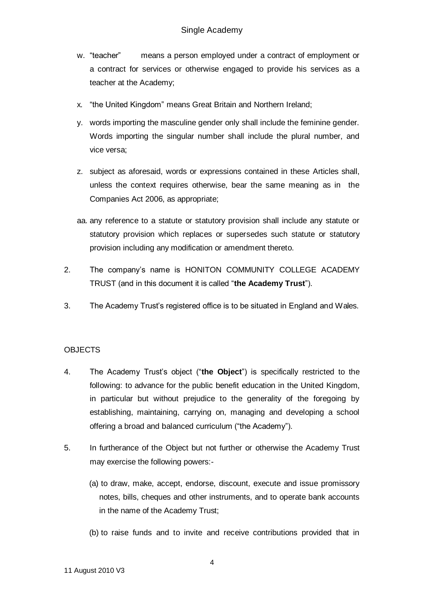- w. "teacher" means a person employed under a contract of employment or a contract for services or otherwise engaged to provide his services as a teacher at the Academy;
- x. "the United Kingdom" means Great Britain and Northern Ireland;
- y. words importing the masculine gender only shall include the feminine gender. Words importing the singular number shall include the plural number, and vice versa;
- z. subject as aforesaid, words or expressions contained in these Articles shall, unless the context requires otherwise, bear the same meaning as in the Companies Act 2006, as appropriate;
- aa. any reference to a statute or statutory provision shall include any statute or statutory provision which replaces or supersedes such statute or statutory provision including any modification or amendment thereto.
- 2. The company's name is HONITON COMMUNITY COLLEGE ACADEMY TRUST (and in this document it is called "**the Academy Trust**").
- 3. The Academy Trust's registered office is to be situated in England and Wales.

# **OBJECTS**

- 4. The Academy Trust's object ("**the Object**") is specifically restricted to the following: to advance for the public benefit education in the United Kingdom, in particular but without prejudice to the generality of the foregoing by establishing, maintaining, carrying on, managing and developing a school offering a broad and balanced curriculum ("the Academy").
- 5. In furtherance of the Object but not further or otherwise the Academy Trust may exercise the following powers:-
	- (a) to draw, make, accept, endorse, discount, execute and issue promissory notes, bills, cheques and other instruments, and to operate bank accounts in the name of the Academy Trust;
	- (b) to raise funds and to invite and receive contributions provided that in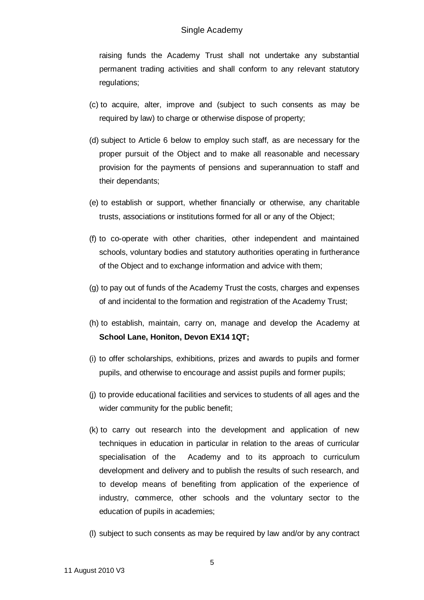raising funds the Academy Trust shall not undertake any substantial permanent trading activities and shall conform to any relevant statutory regulations;

- (c) to acquire, alter, improve and (subject to such consents as may be required by law) to charge or otherwise dispose of property;
- (d) subject to Article 6 below to employ such staff, as are necessary for the proper pursuit of the Object and to make all reasonable and necessary provision for the payments of pensions and superannuation to staff and their dependants;
- (e) to establish or support, whether financially or otherwise, any charitable trusts, associations or institutions formed for all or any of the Object;
- (f) to co-operate with other charities, other independent and maintained schools, voluntary bodies and statutory authorities operating in furtherance of the Object and to exchange information and advice with them;
- (g) to pay out of funds of the Academy Trust the costs, charges and expenses of and incidental to the formation and registration of the Academy Trust;
- (h) to establish, maintain, carry on, manage and develop the Academy at **School Lane, Honiton, Devon EX14 1QT;**
- (i) to offer scholarships, exhibitions, prizes and awards to pupils and former pupils, and otherwise to encourage and assist pupils and former pupils;
- (j) to provide educational facilities and services to students of all ages and the wider community for the public benefit;
- (k) to carry out research into the development and application of new techniques in education in particular in relation to the areas of curricular specialisation of the Academy and to its approach to curriculum development and delivery and to publish the results of such research, and to develop means of benefiting from application of the experience of industry, commerce, other schools and the voluntary sector to the education of pupils in academies;
- (l) subject to such consents as may be required by law and/or by any contract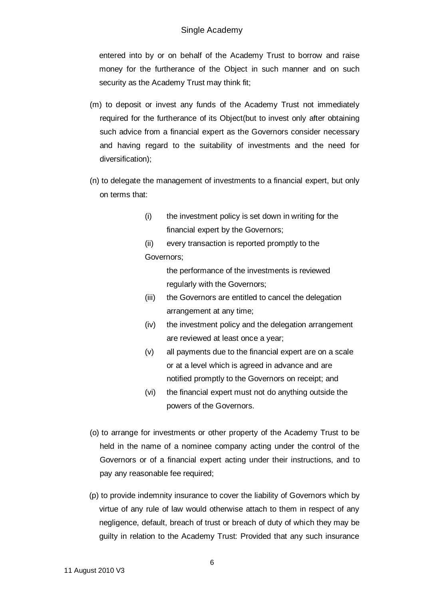entered into by or on behalf of the Academy Trust to borrow and raise money for the furtherance of the Object in such manner and on such security as the Academy Trust may think fit;

- (m) to deposit or invest any funds of the Academy Trust not immediately required for the furtherance of its Object(but to invest only after obtaining such advice from a financial expert as the Governors consider necessary and having regard to the suitability of investments and the need for diversification);
- (n) to delegate the management of investments to a financial expert, but only on terms that:
	- (i) the investment policy is set down in writing for the financial expert by the Governors;
	- (ii) every transaction is reported promptly to the Governors;

the performance of the investments is reviewed regularly with the Governors;

- (iii) the Governors are entitled to cancel the delegation arrangement at any time;
- (iv) the investment policy and the delegation arrangement are reviewed at least once a year;
- (v) all payments due to the financial expert are on a scale or at a level which is agreed in advance and are notified promptly to the Governors on receipt; and
- (vi) the financial expert must not do anything outside the powers of the Governors.
- (o) to arrange for investments or other property of the Academy Trust to be held in the name of a nominee company acting under the control of the Governors or of a financial expert acting under their instructions, and to pay any reasonable fee required;
- (p) to provide indemnity insurance to cover the liability of Governors which by virtue of any rule of law would otherwise attach to them in respect of any negligence, default, breach of trust or breach of duty of which they may be guilty in relation to the Academy Trust: Provided that any such insurance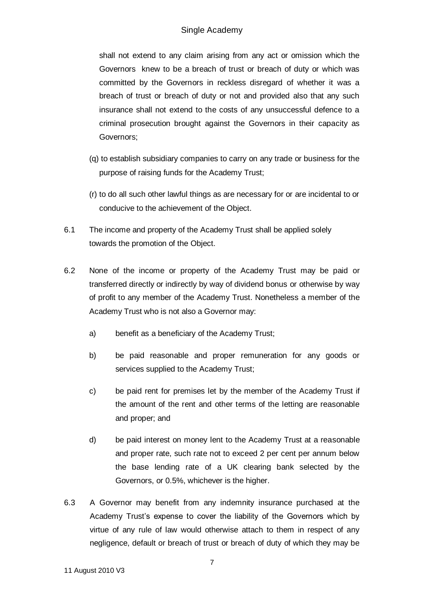shall not extend to any claim arising from any act or omission which the Governors knew to be a breach of trust or breach of duty or which was committed by the Governors in reckless disregard of whether it was a breach of trust or breach of duty or not and provided also that any such insurance shall not extend to the costs of any unsuccessful defence to a criminal prosecution brought against the Governors in their capacity as Governors;

- (q) to establish subsidiary companies to carry on any trade or business for the purpose of raising funds for the Academy Trust;
- (r) to do all such other lawful things as are necessary for or are incidental to or conducive to the achievement of the Object.
- 6.1 The income and property of the Academy Trust shall be applied solely towards the promotion of the Object.
- 6.2 None of the income or property of the Academy Trust may be paid or transferred directly or indirectly by way of dividend bonus or otherwise by way of profit to any member of the Academy Trust. Nonetheless a member of the Academy Trust who is not also a Governor may:
	- a) benefit as a beneficiary of the Academy Trust;
	- b) be paid reasonable and proper remuneration for any goods or services supplied to the Academy Trust;
	- c) be paid rent for premises let by the member of the Academy Trust if the amount of the rent and other terms of the letting are reasonable and proper; and
	- d) be paid interest on money lent to the Academy Trust at a reasonable and proper rate, such rate not to exceed 2 per cent per annum below the base lending rate of a UK clearing bank selected by the Governors, or 0.5%, whichever is the higher.
- 6.3 A Governor may benefit from any indemnity insurance purchased at the Academy Trust's expense to cover the liability of the Governors which by virtue of any rule of law would otherwise attach to them in respect of any negligence, default or breach of trust or breach of duty of which they may be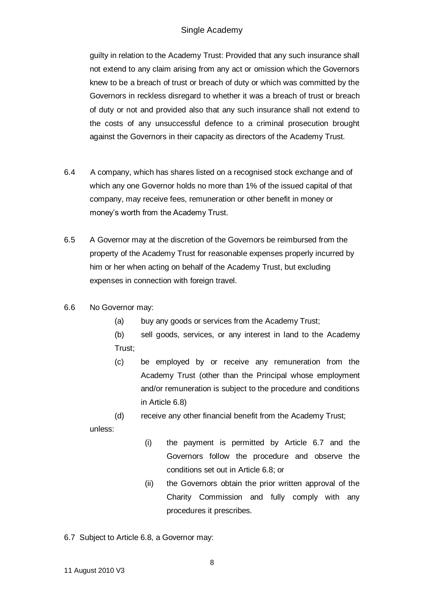# Single Academy

guilty in relation to the Academy Trust: Provided that any such insurance shall not extend to any claim arising from any act or omission which the Governors knew to be a breach of trust or breach of duty or which was committed by the Governors in reckless disregard to whether it was a breach of trust or breach of duty or not and provided also that any such insurance shall not extend to the costs of any unsuccessful defence to a criminal prosecution brought against the Governors in their capacity as directors of the Academy Trust.

- 6.4 A company, which has shares listed on a recognised stock exchange and of which any one Governor holds no more than 1% of the issued capital of that company, may receive fees, remuneration or other benefit in money or money's worth from the Academy Trust.
- 6.5 A Governor may at the discretion of the Governors be reimbursed from the property of the Academy Trust for reasonable expenses properly incurred by him or her when acting on behalf of the Academy Trust, but excluding expenses in connection with foreign travel.
- 6.6 No Governor may:
	- (a) buy any goods or services from the Academy Trust;
	- (b) sell goods, services, or any interest in land to the Academy Trust;
	- (c) be employed by or receive any remuneration from the Academy Trust (other than the Principal whose employment and/or remuneration is subject to the procedure and conditions in Article 6.8)
	- (d) receive any other financial benefit from the Academy Trust;

unless:

- (i) the payment is permitted by Article 6.7 and the Governors follow the procedure and observe the conditions set out in Article 6.8; or
- (ii) the Governors obtain the prior written approval of the Charity Commission and fully comply with any procedures it prescribes.
- 6.7 Subject to Article 6.8, a Governor may: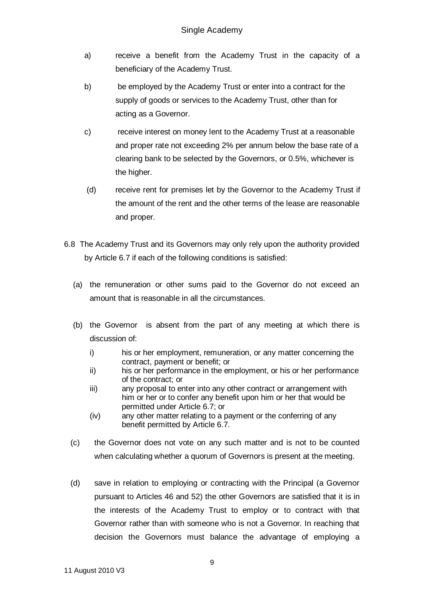- a) receive a benefit from the Academy Trust in the capacity of a beneficiary of the Academy Trust.
- b) be employed by the Academy Trust or enter into a contract for the supply of goods or services to the Academy Trust, other than for acting as a Governor.
- c) receive interest on money lent to the Academy Trust at a reasonable and proper rate not exceeding 2% per annum below the base rate of a clearing bank to be selected by the Governors, or 0.5%, whichever is the higher.
- (d) receive rent for premises let by the Governor to the Academy Trust if the amount of the rent and the other terms of the lease are reasonable and proper.
- 6.8 The Academy Trust and its Governors may only rely upon the authority provided by Article 6.7 if each of the following conditions is satisfied:
	- (a) the remuneration or other sums paid to the Governor do not exceed an amount that is reasonable in all the circumstances.
	- (b) the Governor is absent from the part of any meeting at which there is discussion of:
		- i) his or her employment, remuneration, or any matter concerning the contract, payment or benefit; or
		- ii) his or her performance in the employment, or his or her performance of the contract; or
		- iii) any proposal to enter into any other contract or arrangement with him or her or to confer any benefit upon him or her that would be permitted under Article 6.7; or
		- (iv) any other matter relating to a payment or the conferring of any benefit permitted by Article 6.7.
	- (c) the Governor does not vote on any such matter and is not to be counted when calculating whether a quorum of Governors is present at the meeting.
	- (d) save in relation to employing or contracting with the Principal (a Governor pursuant to Articles 46 and 52) the other Governors are satisfied that it is in the interests of the Academy Trust to employ or to contract with that Governor rather than with someone who is not a Governor. In reaching that decision the Governors must balance the advantage of employing a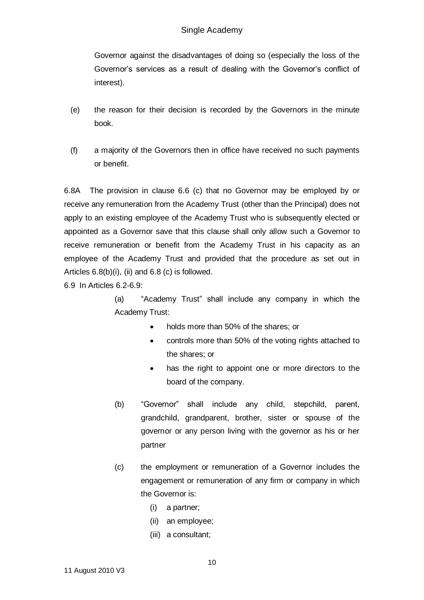Governor against the disadvantages of doing so (especially the loss of the Governor's services as a result of dealing with the Governor's conflict of interest).

- (e) the reason for their decision is recorded by the Governors in the minute book.
- (f) a majority of the Governors then in office have received no such payments or benefit.

6.8A The provision in clause 6.6 (c) that no Governor may be employed by or receive any remuneration from the Academy Trust (other than the Principal) does not apply to an existing employee of the Academy Trust who is subsequently elected or appointed as a Governor save that this clause shall only allow such a Governor to receive remuneration or benefit from the Academy Trust in his capacity as an employee of the Academy Trust and provided that the procedure as set out in Articles  $6.8(b)(i)$ , (ii) and  $6.8(c)$  is followed.

6.9 In Articles 6.2-6.9:

(a) "Academy Trust" shall include any company in which the Academy Trust:

- holds more than 50% of the shares; or
- controls more than 50% of the voting rights attached to the shares; or
- has the right to appoint one or more directors to the board of the company.
- (b) "Governor" shall include any child, stepchild, parent, grandchild, grandparent, brother, sister or spouse of the governor or any person living with the governor as his or her partner
- (c) the employment or remuneration of a Governor includes the engagement or remuneration of any firm or company in which the Governor is:
	- (i) a partner;
	- (ii) an employee;
	- (iii) a consultant;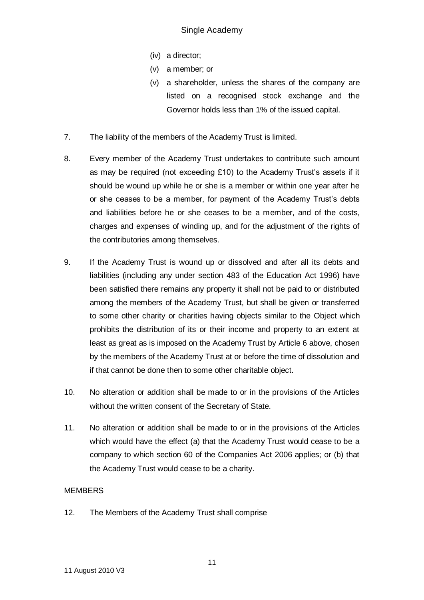- (iv) a director;
- (v) a member; or
- (v) a shareholder, unless the shares of the company are listed on a recognised stock exchange and the Governor holds less than 1% of the issued capital.
- 7. The liability of the members of the Academy Trust is limited.
- 8. Every member of the Academy Trust undertakes to contribute such amount as may be required (not exceeding  $£10$ ) to the Academy Trust's assets if it should be wound up while he or she is a member or within one year after he or she ceases to be a member, for payment of the Academy Trust's debts and liabilities before he or she ceases to be a member, and of the costs, charges and expenses of winding up, and for the adjustment of the rights of the contributories among themselves.
- 9. If the Academy Trust is wound up or dissolved and after all its debts and liabilities (including any under section 483 of the Education Act 1996) have been satisfied there remains any property it shall not be paid to or distributed among the members of the Academy Trust, but shall be given or transferred to some other charity or charities having objects similar to the Object which prohibits the distribution of its or their income and property to an extent at least as great as is imposed on the Academy Trust by Article 6 above, chosen by the members of the Academy Trust at or before the time of dissolution and if that cannot be done then to some other charitable object.
- 10. No alteration or addition shall be made to or in the provisions of the Articles without the written consent of the Secretary of State.
- 11. No alteration or addition shall be made to or in the provisions of the Articles which would have the effect (a) that the Academy Trust would cease to be a company to which section 60 of the Companies Act 2006 applies; or (b) that the Academy Trust would cease to be a charity.

# **MEMBERS**

12. The Members of the Academy Trust shall comprise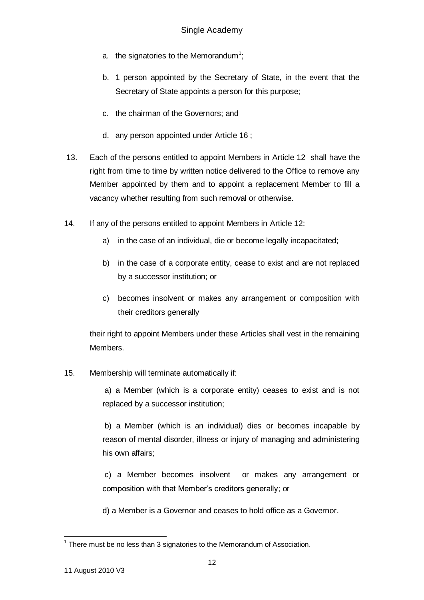- a. the signatories to the Memorandum<sup>1</sup>;
- b. 1 person appointed by the Secretary of State, in the event that the Secretary of State appoints a person for this purpose;
- c. the chairman of the Governors; and
- d. any person appointed under Article 16 ;
- 13. Each of the persons entitled to appoint Members in Article 12 shall have the right from time to time by written notice delivered to the Office to remove any Member appointed by them and to appoint a replacement Member to fill a vacancy whether resulting from such removal or otherwise.
- 14. If any of the persons entitled to appoint Members in Article 12:
	- a) in the case of an individual, die or become legally incapacitated;
	- b) in the case of a corporate entity, cease to exist and are not replaced by a successor institution; or
	- c) becomes insolvent or makes any arrangement or composition with their creditors generally

their right to appoint Members under these Articles shall vest in the remaining Members.

15. Membership will terminate automatically if:

a) a Member (which is a corporate entity) ceases to exist and is not replaced by a successor institution;

b) a Member (which is an individual) dies or becomes incapable by reason of mental disorder, illness or injury of managing and administering his own affairs;

c) a Member becomes insolvent or makes any arrangement or composition with that Member's creditors generally; or

d) a Member is a Governor and ceases to hold office as a Governor.

 1 There must be no less than 3 signatories to the Memorandum of Association.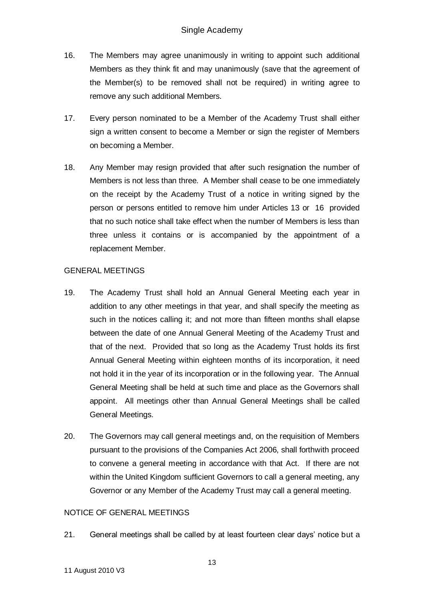- 16. The Members may agree unanimously in writing to appoint such additional Members as they think fit and may unanimously (save that the agreement of the Member(s) to be removed shall not be required) in writing agree to remove any such additional Members.
- 17. Every person nominated to be a Member of the Academy Trust shall either sign a written consent to become a Member or sign the register of Members on becoming a Member.
- 18. Any Member may resign provided that after such resignation the number of Members is not less than three. A Member shall cease to be one immediately on the receipt by the Academy Trust of a notice in writing signed by the person or persons entitled to remove him under Articles 13 or 16 provided that no such notice shall take effect when the number of Members is less than three unless it contains or is accompanied by the appointment of a replacement Member.

## GENERAL MEETINGS

- 19. The Academy Trust shall hold an Annual General Meeting each year in addition to any other meetings in that year, and shall specify the meeting as such in the notices calling it; and not more than fifteen months shall elapse between the date of one Annual General Meeting of the Academy Trust and that of the next. Provided that so long as the Academy Trust holds its first Annual General Meeting within eighteen months of its incorporation, it need not hold it in the year of its incorporation or in the following year. The Annual General Meeting shall be held at such time and place as the Governors shall appoint. All meetings other than Annual General Meetings shall be called General Meetings.
- 20. The Governors may call general meetings and, on the requisition of Members pursuant to the provisions of the Companies Act 2006, shall forthwith proceed to convene a general meeting in accordance with that Act. If there are not within the United Kingdom sufficient Governors to call a general meeting, any Governor or any Member of the Academy Trust may call a general meeting.

# NOTICE OF GENERAL MEETINGS

21. General meetings shall be called by at least fourteen clear days' notice but a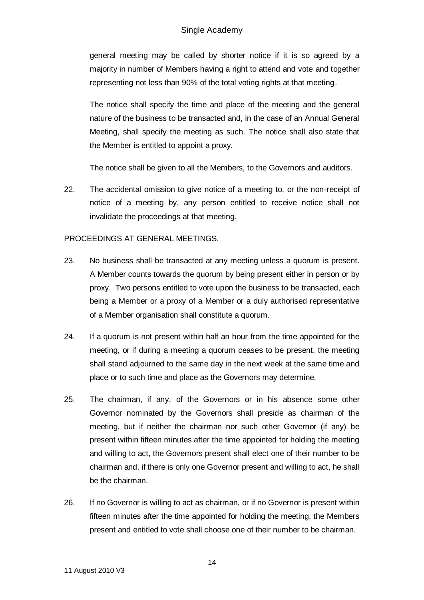general meeting may be called by shorter notice if it is so agreed by a majority in number of Members having a right to attend and vote and together representing not less than 90% of the total voting rights at that meeting.

The notice shall specify the time and place of the meeting and the general nature of the business to be transacted and, in the case of an Annual General Meeting, shall specify the meeting as such. The notice shall also state that the Member is entitled to appoint a proxy.

The notice shall be given to all the Members, to the Governors and auditors.

22. The accidental omission to give notice of a meeting to, or the non-receipt of notice of a meeting by, any person entitled to receive notice shall not invalidate the proceedings at that meeting.

## PROCEEDINGS AT GENERAL MEETINGS.

- 23. No business shall be transacted at any meeting unless a quorum is present. A Member counts towards the quorum by being present either in person or by proxy. Two persons entitled to vote upon the business to be transacted, each being a Member or a proxy of a Member or a duly authorised representative of a Member organisation shall constitute a quorum.
- 24. If a quorum is not present within half an hour from the time appointed for the meeting, or if during a meeting a quorum ceases to be present, the meeting shall stand adjourned to the same day in the next week at the same time and place or to such time and place as the Governors may determine.
- 25. The chairman, if any, of the Governors or in his absence some other Governor nominated by the Governors shall preside as chairman of the meeting, but if neither the chairman nor such other Governor (if any) be present within fifteen minutes after the time appointed for holding the meeting and willing to act, the Governors present shall elect one of their number to be chairman and, if there is only one Governor present and willing to act, he shall be the chairman.
- 26. If no Governor is willing to act as chairman, or if no Governor is present within fifteen minutes after the time appointed for holding the meeting, the Members present and entitled to vote shall choose one of their number to be chairman.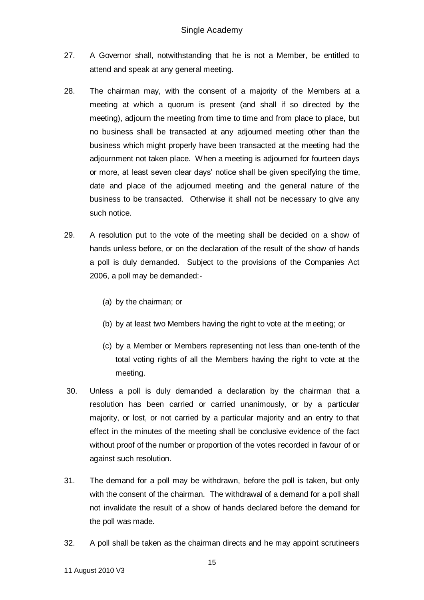- 27. A Governor shall, notwithstanding that he is not a Member, be entitled to attend and speak at any general meeting.
- 28. The chairman may, with the consent of a majority of the Members at a meeting at which a quorum is present (and shall if so directed by the meeting), adjourn the meeting from time to time and from place to place, but no business shall be transacted at any adjourned meeting other than the business which might properly have been transacted at the meeting had the adjournment not taken place. When a meeting is adjourned for fourteen days or more, at least seven clear days' notice shall be given specifying the time, date and place of the adjourned meeting and the general nature of the business to be transacted. Otherwise it shall not be necessary to give any such notice.
- 29. A resolution put to the vote of the meeting shall be decided on a show of hands unless before, or on the declaration of the result of the show of hands a poll is duly demanded. Subject to the provisions of the Companies Act 2006, a poll may be demanded:-
	- (a) by the chairman; or
	- (b) by at least two Members having the right to vote at the meeting; or
	- (c) by a Member or Members representing not less than one-tenth of the total voting rights of all the Members having the right to vote at the meeting.
- 30. Unless a poll is duly demanded a declaration by the chairman that a resolution has been carried or carried unanimously, or by a particular majority, or lost, or not carried by a particular majority and an entry to that effect in the minutes of the meeting shall be conclusive evidence of the fact without proof of the number or proportion of the votes recorded in favour of or against such resolution.
- 31. The demand for a poll may be withdrawn, before the poll is taken, but only with the consent of the chairman. The withdrawal of a demand for a poll shall not invalidate the result of a show of hands declared before the demand for the poll was made.
- 32. A poll shall be taken as the chairman directs and he may appoint scrutineers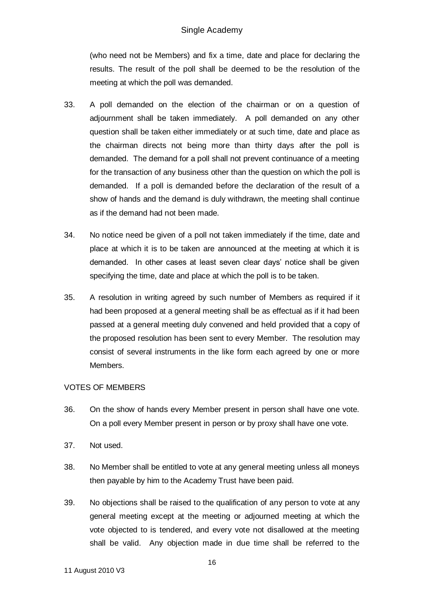(who need not be Members) and fix a time, date and place for declaring the results. The result of the poll shall be deemed to be the resolution of the meeting at which the poll was demanded.

- 33. A poll demanded on the election of the chairman or on a question of adjournment shall be taken immediately. A poll demanded on any other question shall be taken either immediately or at such time, date and place as the chairman directs not being more than thirty days after the poll is demanded. The demand for a poll shall not prevent continuance of a meeting for the transaction of any business other than the question on which the poll is demanded. If a poll is demanded before the declaration of the result of a show of hands and the demand is duly withdrawn, the meeting shall continue as if the demand had not been made.
- 34. No notice need be given of a poll not taken immediately if the time, date and place at which it is to be taken are announced at the meeting at which it is demanded. In other cases at least seven clear days' notice shall be given specifying the time, date and place at which the poll is to be taken.
- 35. A resolution in writing agreed by such number of Members as required if it had been proposed at a general meeting shall be as effectual as if it had been passed at a general meeting duly convened and held provided that a copy of the proposed resolution has been sent to every Member. The resolution may consist of several instruments in the like form each agreed by one or more Members.

# VOTES OF MEMBERS

- 36. On the show of hands every Member present in person shall have one vote. On a poll every Member present in person or by proxy shall have one vote.
- 37. Not used.
- 38. No Member shall be entitled to vote at any general meeting unless all moneys then payable by him to the Academy Trust have been paid.
- 39. No objections shall be raised to the qualification of any person to vote at any general meeting except at the meeting or adjourned meeting at which the vote objected to is tendered, and every vote not disallowed at the meeting shall be valid. Any objection made in due time shall be referred to the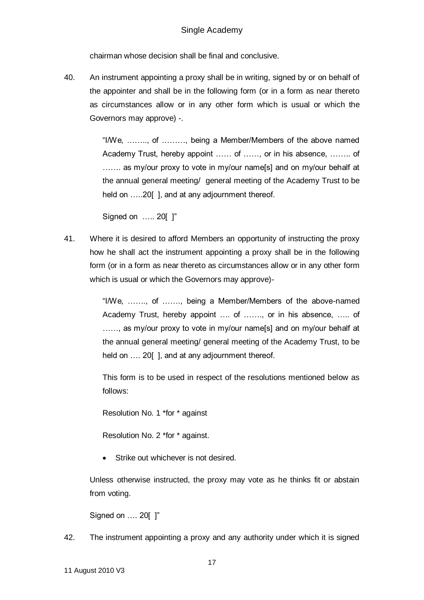chairman whose decision shall be final and conclusive.

40. An instrument appointing a proxy shall be in writing, signed by or on behalf of the appointer and shall be in the following form (or in a form as near thereto as circumstances allow or in any other form which is usual or which the Governors may approve) -.

> "I/We, …….., of ………, being a Member/Members of the above named Academy Trust, hereby appoint …… of ……, or in his absence, …….. of ....... as my/our proxy to vote in my/our name[s] and on my/our behalf at the annual general meeting/ general meeting of the Academy Trust to be held on .....20[], and at any adjournment thereof.

Signed on ….. 20[ ]"

41. Where it is desired to afford Members an opportunity of instructing the proxy how he shall act the instrument appointing a proxy shall be in the following form (or in a form as near thereto as circumstances allow or in any other form which is usual or which the Governors may approve)-

> "I/We, ……., of ……., being a Member/Members of the above-named Academy Trust, hereby appoint …. of ……., or in his absence, ….. of ......, as my/our proxy to vote in my/our name[s] and on my/our behalf at the annual general meeting/ general meeting of the Academy Trust, to be held on .... 20[], and at any adjournment thereof.

> This form is to be used in respect of the resolutions mentioned below as follows:

Resolution No. 1 \*for \* against

Resolution No. 2 \*for \* against.

Strike out whichever is not desired.

Unless otherwise instructed, the proxy may vote as he thinks fit or abstain from voting.

Signed on …. 20[ ]"

42. The instrument appointing a proxy and any authority under which it is signed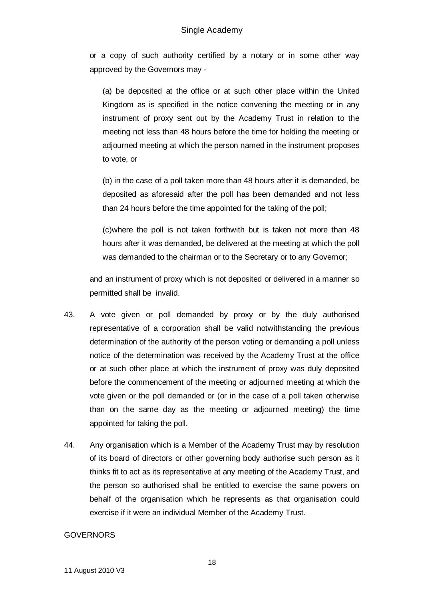or a copy of such authority certified by a notary or in some other way approved by the Governors may -

(a) be deposited at the office or at such other place within the United Kingdom as is specified in the notice convening the meeting or in any instrument of proxy sent out by the Academy Trust in relation to the meeting not less than 48 hours before the time for holding the meeting or adjourned meeting at which the person named in the instrument proposes to vote, or

(b) in the case of a poll taken more than 48 hours after it is demanded, be deposited as aforesaid after the poll has been demanded and not less than 24 hours before the time appointed for the taking of the poll;

(c)where the poll is not taken forthwith but is taken not more than 48 hours after it was demanded, be delivered at the meeting at which the poll was demanded to the chairman or to the Secretary or to any Governor;

and an instrument of proxy which is not deposited or delivered in a manner so permitted shall be invalid.

- 43. A vote given or poll demanded by proxy or by the duly authorised representative of a corporation shall be valid notwithstanding the previous determination of the authority of the person voting or demanding a poll unless notice of the determination was received by the Academy Trust at the office or at such other place at which the instrument of proxy was duly deposited before the commencement of the meeting or adjourned meeting at which the vote given or the poll demanded or (or in the case of a poll taken otherwise than on the same day as the meeting or adjourned meeting) the time appointed for taking the poll.
- 44. Any organisation which is a Member of the Academy Trust may by resolution of its board of directors or other governing body authorise such person as it thinks fit to act as its representative at any meeting of the Academy Trust, and the person so authorised shall be entitled to exercise the same powers on behalf of the organisation which he represents as that organisation could exercise if it were an individual Member of the Academy Trust.

#### **GOVERNORS**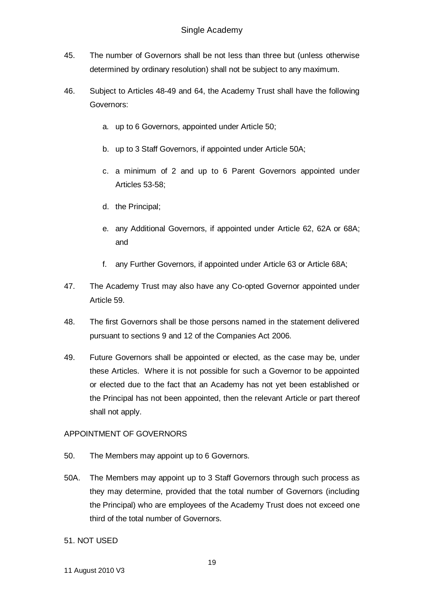- 45. The number of Governors shall be not less than three but (unless otherwise determined by ordinary resolution) shall not be subject to any maximum.
- 46. Subject to Articles 48-49 and 64, the Academy Trust shall have the following Governors:
	- a. up to 6 Governors, appointed under Article 50;
	- b. up to 3 Staff Governors, if appointed under Article 50A;
	- c. a minimum of 2 and up to 6 Parent Governors appointed under Articles 53-58;
	- d. the Principal;
	- e. any Additional Governors, if appointed under Article 62, 62A or 68A; and
	- f. any Further Governors, if appointed under Article 63 or Article 68A;
- 47. The Academy Trust may also have any Co-opted Governor appointed under Article 59.
- 48. The first Governors shall be those persons named in the statement delivered pursuant to sections 9 and 12 of the Companies Act 2006.
- 49. Future Governors shall be appointed or elected, as the case may be, under these Articles. Where it is not possible for such a Governor to be appointed or elected due to the fact that an Academy has not yet been established or the Principal has not been appointed, then the relevant Article or part thereof shall not apply.

# APPOINTMENT OF GOVERNORS

- 50. The Members may appoint up to 6 Governors.
- 50A. The Members may appoint up to 3 Staff Governors through such process as they may determine, provided that the total number of Governors (including the Principal) who are employees of the Academy Trust does not exceed one third of the total number of Governors.

#### 51. NOT USED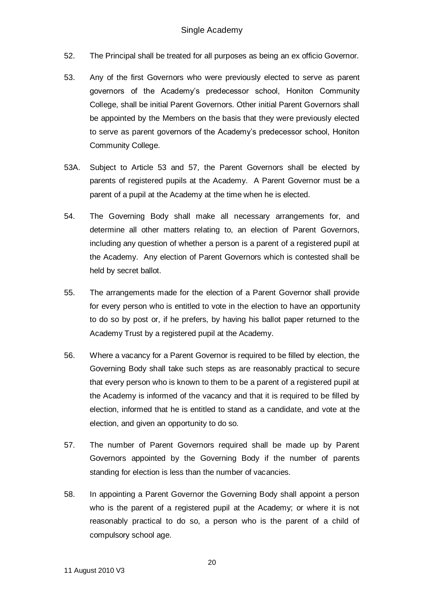- 52. The Principal shall be treated for all purposes as being an ex officio Governor.
- 53. Any of the first Governors who were previously elected to serve as parent governors of the Academy's predecessor school, Honiton Community College, shall be initial Parent Governors. Other initial Parent Governors shall be appointed by the Members on the basis that they were previously elected to serve as parent governors of the Academy's predecessor school, Honiton Community College.
- 53A. Subject to Article 53 and 57, the Parent Governors shall be elected by parents of registered pupils at the Academy. A Parent Governor must be a parent of a pupil at the Academy at the time when he is elected.
- 54. The Governing Body shall make all necessary arrangements for, and determine all other matters relating to, an election of Parent Governors, including any question of whether a person is a parent of a registered pupil at the Academy. Any election of Parent Governors which is contested shall be held by secret ballot.
- 55. The arrangements made for the election of a Parent Governor shall provide for every person who is entitled to vote in the election to have an opportunity to do so by post or, if he prefers, by having his ballot paper returned to the Academy Trust by a registered pupil at the Academy.
- 56. Where a vacancy for a Parent Governor is required to be filled by election, the Governing Body shall take such steps as are reasonably practical to secure that every person who is known to them to be a parent of a registered pupil at the Academy is informed of the vacancy and that it is required to be filled by election, informed that he is entitled to stand as a candidate, and vote at the election, and given an opportunity to do so.
- 57. The number of Parent Governors required shall be made up by Parent Governors appointed by the Governing Body if the number of parents standing for election is less than the number of vacancies.
- 58. In appointing a Parent Governor the Governing Body shall appoint a person who is the parent of a registered pupil at the Academy; or where it is not reasonably practical to do so, a person who is the parent of a child of compulsory school age.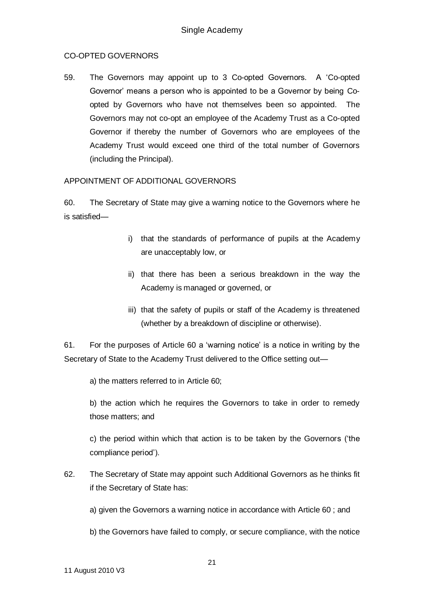# CO-OPTED GOVERNORS

59. The Governors may appoint up to 3 Co-opted Governors. A 'Co-opted Governor' means a person who is appointed to be a Governor by being Coopted by Governors who have not themselves been so appointed. The Governors may not co-opt an employee of the Academy Trust as a Co-opted Governor if thereby the number of Governors who are employees of the Academy Trust would exceed one third of the total number of Governors (including the Principal).

## APPOINTMENT OF ADDITIONAL GOVERNORS

60. The Secretary of State may give a warning notice to the Governors where he is satisfied—

- i) that the standards of performance of pupils at the Academy are unacceptably low, or
- ii) that there has been a serious breakdown in the way the Academy is managed or governed, or
- iii) that the safety of pupils or staff of the Academy is threatened (whether by a breakdown of discipline or otherwise).

61. For the purposes of Article 60 a 'warning notice' is a notice in writing by the Secretary of State to the Academy Trust delivered to the Office setting out—

a) the matters referred to in Article 60;

b) the action which he requires the Governors to take in order to remedy those matters; and

c) the period within which that action is to be taken by the Governors ('the compliance period').

62. The Secretary of State may appoint such Additional Governors as he thinks fit if the Secretary of State has:

a) given the Governors a warning notice in accordance with Article 60 ; and

b) the Governors have failed to comply, or secure compliance, with the notice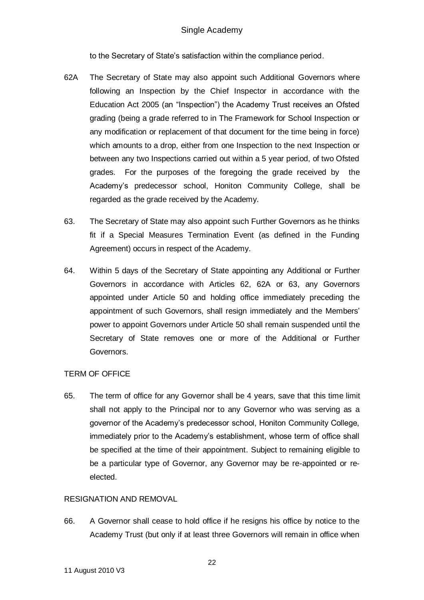to the Secretary of State's satisfaction within the compliance period.

- 62A The Secretary of State may also appoint such Additional Governors where following an Inspection by the Chief Inspector in accordance with the Education Act 2005 (an "Inspection") the Academy Trust receives an Ofsted grading (being a grade referred to in The Framework for School Inspection or any modification or replacement of that document for the time being in force) which amounts to a drop, either from one Inspection to the next Inspection or between any two Inspections carried out within a 5 year period, of two Ofsted grades. For the purposes of the foregoing the grade received by the Academy's predecessor school, Honiton Community College, shall be regarded as the grade received by the Academy.
- 63. The Secretary of State may also appoint such Further Governors as he thinks fit if a Special Measures Termination Event (as defined in the Funding Agreement) occurs in respect of the Academy.
- 64. Within 5 days of the Secretary of State appointing any Additional or Further Governors in accordance with Articles 62, 62A or 63, any Governors appointed under Article 50 and holding office immediately preceding the appointment of such Governors, shall resign immediately and the Members' power to appoint Governors under Article 50 shall remain suspended until the Secretary of State removes one or more of the Additional or Further Governors.

#### TERM OF OFFICE

65. The term of office for any Governor shall be 4 years, save that this time limit shall not apply to the Principal nor to any Governor who was serving as a governor of the Academy's predecessor school, Honiton Community College, immediately prior to the Academy's establishment, whose term of office shall be specified at the time of their appointment. Subject to remaining eligible to be a particular type of Governor, any Governor may be re-appointed or reelected.

### RESIGNATION AND REMOVAL

66. A Governor shall cease to hold office if he resigns his office by notice to the Academy Trust (but only if at least three Governors will remain in office when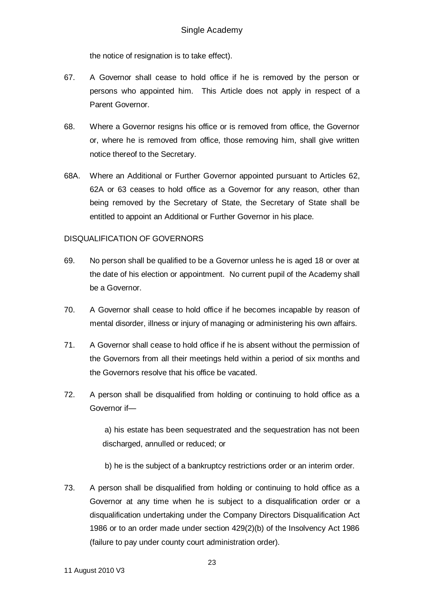the notice of resignation is to take effect).

- 67. A Governor shall cease to hold office if he is removed by the person or persons who appointed him. This Article does not apply in respect of a Parent Governor.
- 68. Where a Governor resigns his office or is removed from office, the Governor or, where he is removed from office, those removing him, shall give written notice thereof to the Secretary.
- 68A. Where an Additional or Further Governor appointed pursuant to Articles 62, 62A or 63 ceases to hold office as a Governor for any reason, other than being removed by the Secretary of State, the Secretary of State shall be entitled to appoint an Additional or Further Governor in his place.

## DISQUALIFICATION OF GOVERNORS

- 69. No person shall be qualified to be a Governor unless he is aged 18 or over at the date of his election or appointment. No current pupil of the Academy shall be a Governor.
- 70. A Governor shall cease to hold office if he becomes incapable by reason of mental disorder, illness or injury of managing or administering his own affairs.
- 71. A Governor shall cease to hold office if he is absent without the permission of the Governors from all their meetings held within a period of six months and the Governors resolve that his office be vacated.
- 72. A person shall be disqualified from holding or continuing to hold office as a Governor if—

a) his estate has been sequestrated and the sequestration has not been discharged, annulled or reduced; or

b) he is the subject of a bankruptcy restrictions order or an interim order.

73. A person shall be disqualified from holding or continuing to hold office as a Governor at any time when he is subject to a disqualification order or a disqualification undertaking under the Company Directors Disqualification Act 1986 or to an order made under section 429(2)(b) of the Insolvency Act 1986 (failure to pay under county court administration order).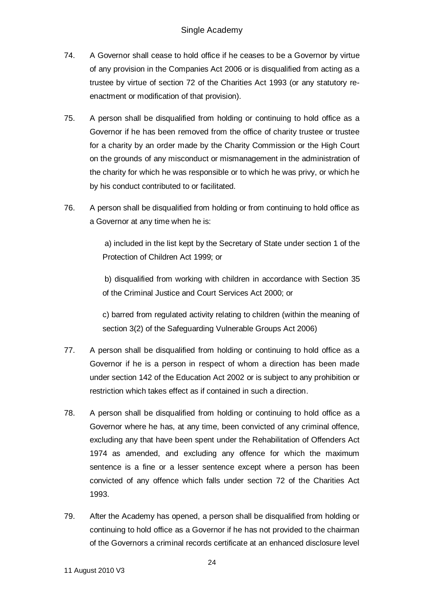- 74. A Governor shall cease to hold office if he ceases to be a Governor by virtue of any provision in the Companies Act 2006 or is disqualified from acting as a trustee by virtue of section 72 of the Charities Act 1993 (or any statutory reenactment or modification of that provision).
- 75. A person shall be disqualified from holding or continuing to hold office as a Governor if he has been removed from the office of charity trustee or trustee for a charity by an order made by the Charity Commission or the High Court on the grounds of any misconduct or mismanagement in the administration of the charity for which he was responsible or to which he was privy, or which he by his conduct contributed to or facilitated.
- 76. A person shall be disqualified from holding or from continuing to hold office as a Governor at any time when he is:

a) included in the list kept by the Secretary of State under section 1 of the Protection of Children Act 1999; or

b) disqualified from working with children in accordance with Section 35 of the Criminal Justice and Court Services Act 2000; or

c) barred from regulated activity relating to children (within the meaning of section 3(2) of the Safeguarding Vulnerable Groups Act 2006)

- 77. A person shall be disqualified from holding or continuing to hold office as a Governor if he is a person in respect of whom a direction has been made under section 142 of the Education Act 2002 or is subject to any prohibition or restriction which takes effect as if contained in such a direction.
- 78. A person shall be disqualified from holding or continuing to hold office as a Governor where he has, at any time, been convicted of any criminal offence, excluding any that have been spent under the Rehabilitation of Offenders Act 1974 as amended, and excluding any offence for which the maximum sentence is a fine or a lesser sentence except where a person has been convicted of any offence which falls under section 72 of the Charities Act 1993.
- 79. After the Academy has opened, a person shall be disqualified from holding or continuing to hold office as a Governor if he has not provided to the chairman of the Governors a criminal records certificate at an enhanced disclosure level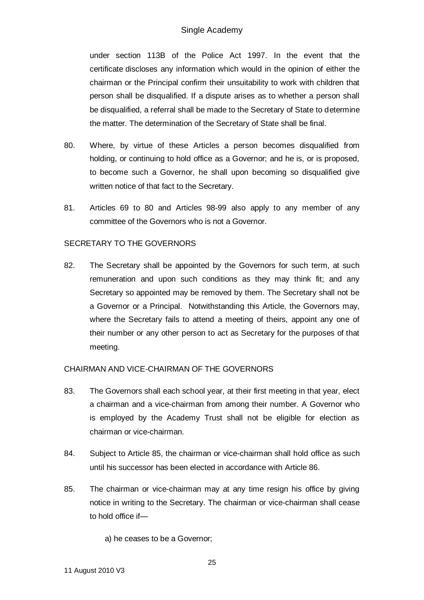under section 113B of the Police Act 1997. In the event that the certificate discloses any information which would in the opinion of either the chairman or the Principal confirm their unsuitability to work with children that person shall be disqualified. If a dispute arises as to whether a person shall be disqualified, a referral shall be made to the Secretary of State to determine the matter. The determination of the Secretary of State shall be final.

- 80. Where, by virtue of these Articles a person becomes disqualified from holding, or continuing to hold office as a Governor; and he is, or is proposed, to become such a Governor, he shall upon becoming so disqualified give written notice of that fact to the Secretary.
- 81. Articles 69 to 80 and Articles 98-99 also apply to any member of any committee of the Governors who is not a Governor.

#### SECRETARY TO THE GOVERNORS

82. The Secretary shall be appointed by the Governors for such term, at such remuneration and upon such conditions as they may think fit; and any Secretary so appointed may be removed by them. The Secretary shall not be a Governor or a Principal. Notwithstanding this Article, the Governors may, where the Secretary fails to attend a meeting of theirs, appoint any one of their number or any other person to act as Secretary for the purposes of that meeting.

#### CHAIRMAN AND VICE-CHAIRMAN OF THE GOVERNORS

- 83. The Governors shall each school year, at their first meeting in that year, elect a chairman and a vice-chairman from among their number. A Governor who is employed by the Academy Trust shall not be eligible for election as chairman or vice-chairman.
- 84. Subject to Article 85, the chairman or vice-chairman shall hold office as such until his successor has been elected in accordance with Article 86.
- 85. The chairman or vice-chairman may at any time resign his office by giving notice in writing to the Secretary. The chairman or vice-chairman shall cease to hold office if—

a) he ceases to be a Governor;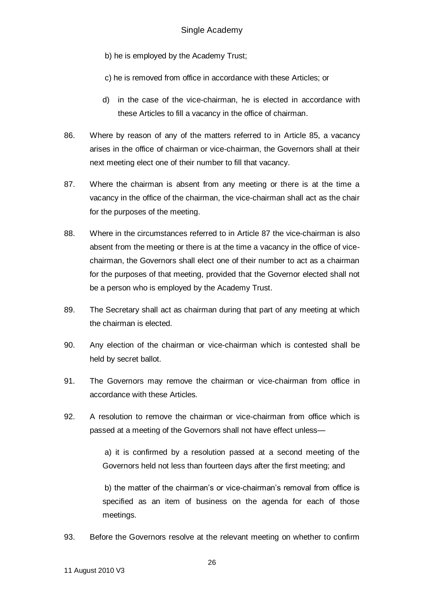b) he is employed by the Academy Trust;

c) he is removed from office in accordance with these Articles; or

- d) in the case of the vice-chairman, he is elected in accordance with these Articles to fill a vacancy in the office of chairman.
- 86. Where by reason of any of the matters referred to in Article 85, a vacancy arises in the office of chairman or vice-chairman, the Governors shall at their next meeting elect one of their number to fill that vacancy.
- 87. Where the chairman is absent from any meeting or there is at the time a vacancy in the office of the chairman, the vice-chairman shall act as the chair for the purposes of the meeting.
- 88. Where in the circumstances referred to in Article 87 the vice-chairman is also absent from the meeting or there is at the time a vacancy in the office of vicechairman, the Governors shall elect one of their number to act as a chairman for the purposes of that meeting, provided that the Governor elected shall not be a person who is employed by the Academy Trust.
- 89. The Secretary shall act as chairman during that part of any meeting at which the chairman is elected.
- 90. Any election of the chairman or vice-chairman which is contested shall be held by secret ballot.
- 91. The Governors may remove the chairman or vice-chairman from office in accordance with these Articles.
- 92. A resolution to remove the chairman or vice-chairman from office which is passed at a meeting of the Governors shall not have effect unless—

a) it is confirmed by a resolution passed at a second meeting of the Governors held not less than fourteen days after the first meeting; and

b) the matter of the chairman's or vice-chairman's removal from office is specified as an item of business on the agenda for each of those meetings.

93. Before the Governors resolve at the relevant meeting on whether to confirm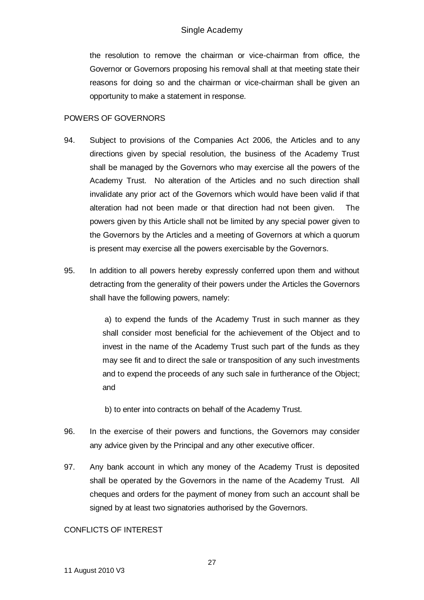the resolution to remove the chairman or vice-chairman from office, the Governor or Governors proposing his removal shall at that meeting state their reasons for doing so and the chairman or vice-chairman shall be given an opportunity to make a statement in response.

## POWERS OF GOVERNORS

- 94. Subject to provisions of the Companies Act 2006, the Articles and to any directions given by special resolution, the business of the Academy Trust shall be managed by the Governors who may exercise all the powers of the Academy Trust. No alteration of the Articles and no such direction shall invalidate any prior act of the Governors which would have been valid if that alteration had not been made or that direction had not been given. The powers given by this Article shall not be limited by any special power given to the Governors by the Articles and a meeting of Governors at which a quorum is present may exercise all the powers exercisable by the Governors.
- 95. In addition to all powers hereby expressly conferred upon them and without detracting from the generality of their powers under the Articles the Governors shall have the following powers, namely:

a) to expend the funds of the Academy Trust in such manner as they shall consider most beneficial for the achievement of the Object and to invest in the name of the Academy Trust such part of the funds as they may see fit and to direct the sale or transposition of any such investments and to expend the proceeds of any such sale in furtherance of the Object; and

- b) to enter into contracts on behalf of the Academy Trust.
- 96. In the exercise of their powers and functions, the Governors may consider any advice given by the Principal and any other executive officer.
- 97. Any bank account in which any money of the Academy Trust is deposited shall be operated by the Governors in the name of the Academy Trust. All cheques and orders for the payment of money from such an account shall be signed by at least two signatories authorised by the Governors.

# CONFLICTS OF INTEREST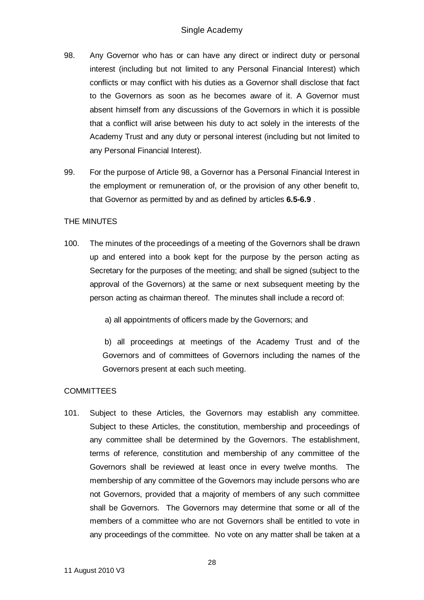- 98. Any Governor who has or can have any direct or indirect duty or personal interest (including but not limited to any Personal Financial Interest) which conflicts or may conflict with his duties as a Governor shall disclose that fact to the Governors as soon as he becomes aware of it. A Governor must absent himself from any discussions of the Governors in which it is possible that a conflict will arise between his duty to act solely in the interests of the Academy Trust and any duty or personal interest (including but not limited to any Personal Financial Interest).
- 99. For the purpose of Article 98, a Governor has a Personal Financial Interest in the employment or remuneration of, or the provision of any other benefit to, that Governor as permitted by and as defined by articles **6.5-6.9** .

## THE MINUTES

100. The minutes of the proceedings of a meeting of the Governors shall be drawn up and entered into a book kept for the purpose by the person acting as Secretary for the purposes of the meeting; and shall be signed (subject to the approval of the Governors) at the same or next subsequent meeting by the person acting as chairman thereof. The minutes shall include a record of:

a) all appointments of officers made by the Governors; and

b) all proceedings at meetings of the Academy Trust and of the Governors and of committees of Governors including the names of the Governors present at each such meeting.

# **COMMITTEES**

101. Subject to these Articles, the Governors may establish any committee. Subject to these Articles, the constitution, membership and proceedings of any committee shall be determined by the Governors. The establishment, terms of reference, constitution and membership of any committee of the Governors shall be reviewed at least once in every twelve months. The membership of any committee of the Governors may include persons who are not Governors, provided that a majority of members of any such committee shall be Governors. The Governors may determine that some or all of the members of a committee who are not Governors shall be entitled to vote in any proceedings of the committee. No vote on any matter shall be taken at a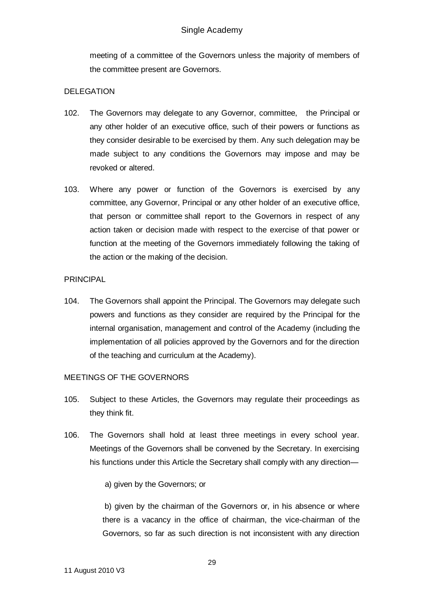meeting of a committee of the Governors unless the majority of members of the committee present are Governors.

### DELEGATION

- 102. The Governors may delegate to any Governor, committee, the Principal or any other holder of an executive office, such of their powers or functions as they consider desirable to be exercised by them. Any such delegation may be made subject to any conditions the Governors may impose and may be revoked or altered.
- 103. Where any power or function of the Governors is exercised by any committee, any Governor, Principal or any other holder of an executive office, that person or committee shall report to the Governors in respect of any action taken or decision made with respect to the exercise of that power or function at the meeting of the Governors immediately following the taking of the action or the making of the decision.

## PRINCIPAL

104. The Governors shall appoint the Principal. The Governors may delegate such powers and functions as they consider are required by the Principal for the internal organisation, management and control of the Academy (including the implementation of all policies approved by the Governors and for the direction of the teaching and curriculum at the Academy).

# MEETINGS OF THE GOVERNORS

- 105. Subject to these Articles, the Governors may regulate their proceedings as they think fit.
- 106. The Governors shall hold at least three meetings in every school year. Meetings of the Governors shall be convened by the Secretary. In exercising his functions under this Article the Secretary shall comply with any direction—

# a) given by the Governors; or

b) given by the chairman of the Governors or, in his absence or where there is a vacancy in the office of chairman, the vice-chairman of the Governors, so far as such direction is not inconsistent with any direction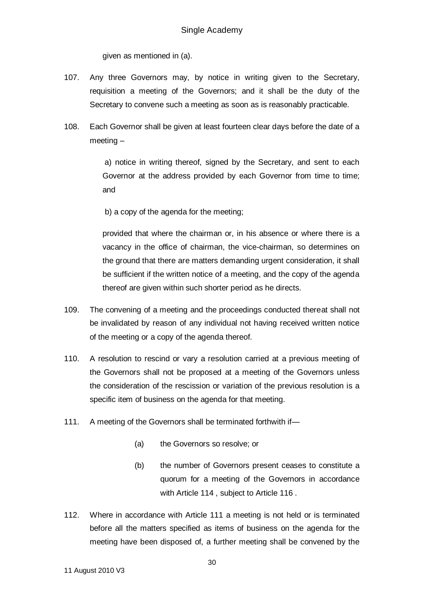given as mentioned in (a).

- 107. Any three Governors may, by notice in writing given to the Secretary, requisition a meeting of the Governors; and it shall be the duty of the Secretary to convene such a meeting as soon as is reasonably practicable.
- 108. Each Governor shall be given at least fourteen clear days before the date of a meeting –

a) notice in writing thereof, signed by the Secretary, and sent to each Governor at the address provided by each Governor from time to time; and

b) a copy of the agenda for the meeting;

provided that where the chairman or, in his absence or where there is a vacancy in the office of chairman, the vice-chairman, so determines on the ground that there are matters demanding urgent consideration, it shall be sufficient if the written notice of a meeting, and the copy of the agenda thereof are given within such shorter period as he directs.

- 109. The convening of a meeting and the proceedings conducted thereat shall not be invalidated by reason of any individual not having received written notice of the meeting or a copy of the agenda thereof.
- 110. A resolution to rescind or vary a resolution carried at a previous meeting of the Governors shall not be proposed at a meeting of the Governors unless the consideration of the rescission or variation of the previous resolution is a specific item of business on the agenda for that meeting.
- 111. A meeting of the Governors shall be terminated forthwith if—
	- (a) the Governors so resolve; or
	- (b) the number of Governors present ceases to constitute a quorum for a meeting of the Governors in accordance with Article 114, subject to Article 116.
- 112. Where in accordance with Article 111 a meeting is not held or is terminated before all the matters specified as items of business on the agenda for the meeting have been disposed of, a further meeting shall be convened by the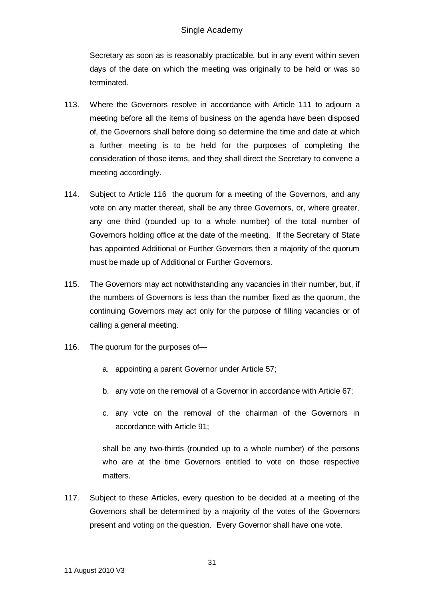Secretary as soon as is reasonably practicable, but in any event within seven days of the date on which the meeting was originally to be held or was so terminated.

- 113. Where the Governors resolve in accordance with Article 111 to adjourn a meeting before all the items of business on the agenda have been disposed of, the Governors shall before doing so determine the time and date at which a further meeting is to be held for the purposes of completing the consideration of those items, and they shall direct the Secretary to convene a meeting accordingly.
- 114. Subject to Article 116 the quorum for a meeting of the Governors, and any vote on any matter thereat, shall be any three Governors, or, where greater, any one third (rounded up to a whole number) of the total number of Governors holding office at the date of the meeting. If the Secretary of State has appointed Additional or Further Governors then a majority of the quorum must be made up of Additional or Further Governors.
- 115. The Governors may act notwithstanding any vacancies in their number, but, if the numbers of Governors is less than the number fixed as the quorum, the continuing Governors may act only for the purpose of filling vacancies or of calling a general meeting.
- 116. The quorum for the purposes of
	- a. appointing a parent Governor under Article 57;
	- b. any vote on the removal of a Governor in accordance with Article 67;
	- c. any vote on the removal of the chairman of the Governors in accordance with Article 91;

shall be any two-thirds (rounded up to a whole number) of the persons who are at the time Governors entitled to vote on those respective matters.

117. Subject to these Articles, every question to be decided at a meeting of the Governors shall be determined by a majority of the votes of the Governors present and voting on the question. Every Governor shall have one vote.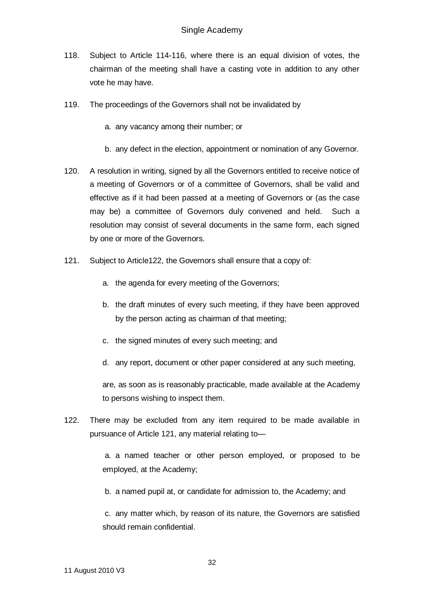- 118. Subject to Article 114-116, where there is an equal division of votes, the chairman of the meeting shall have a casting vote in addition to any other vote he may have.
- 119. The proceedings of the Governors shall not be invalidated by
	- a. any vacancy among their number; or
	- b. any defect in the election, appointment or nomination of any Governor.
- 120. A resolution in writing, signed by all the Governors entitled to receive notice of a meeting of Governors or of a committee of Governors, shall be valid and effective as if it had been passed at a meeting of Governors or (as the case may be) a committee of Governors duly convened and held. Such a resolution may consist of several documents in the same form, each signed by one or more of the Governors.
- 121. Subject to Article122, the Governors shall ensure that a copy of:
	- a. the agenda for every meeting of the Governors;
	- b. the draft minutes of every such meeting, if they have been approved by the person acting as chairman of that meeting;
	- c. the signed minutes of every such meeting; and
	- d. any report, document or other paper considered at any such meeting,

are, as soon as is reasonably practicable, made available at the Academy to persons wishing to inspect them.

122. There may be excluded from any item required to be made available in pursuance of Article 121, any material relating to—

> a. a named teacher or other person employed, or proposed to be employed, at the Academy;

b. a named pupil at, or candidate for admission to, the Academy; and

c. any matter which, by reason of its nature, the Governors are satisfied should remain confidential.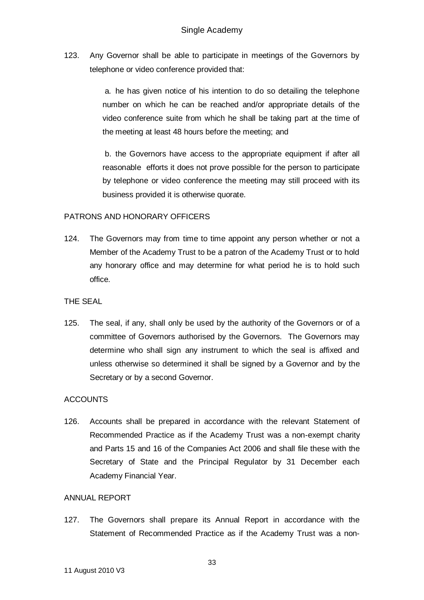123. Any Governor shall be able to participate in meetings of the Governors by telephone or video conference provided that:

> a. he has given notice of his intention to do so detailing the telephone number on which he can be reached and/or appropriate details of the video conference suite from which he shall be taking part at the time of the meeting at least 48 hours before the meeting; and

> b. the Governors have access to the appropriate equipment if after all reasonable efforts it does not prove possible for the person to participate by telephone or video conference the meeting may still proceed with its business provided it is otherwise quorate.

#### PATRONS AND HONORARY OFFICERS

124. The Governors may from time to time appoint any person whether or not a Member of the Academy Trust to be a patron of the Academy Trust or to hold any honorary office and may determine for what period he is to hold such office.

#### THE SEAL

125. The seal, if any, shall only be used by the authority of the Governors or of a committee of Governors authorised by the Governors. The Governors may determine who shall sign any instrument to which the seal is affixed and unless otherwise so determined it shall be signed by a Governor and by the Secretary or by a second Governor.

# **ACCOUNTS**

126. Accounts shall be prepared in accordance with the relevant Statement of Recommended Practice as if the Academy Trust was a non-exempt charity and Parts 15 and 16 of the Companies Act 2006 and shall file these with the Secretary of State and the Principal Regulator by 31 December each Academy Financial Year.

#### ANNUAL REPORT

127. The Governors shall prepare its Annual Report in accordance with the Statement of Recommended Practice as if the Academy Trust was a non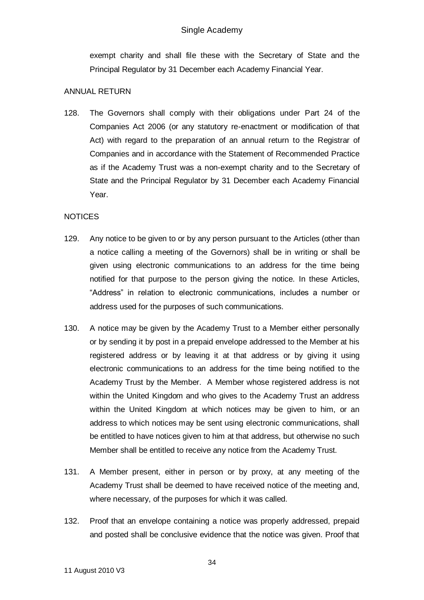exempt charity and shall file these with the Secretary of State and the Principal Regulator by 31 December each Academy Financial Year.

### ANNUAL RETURN

128. The Governors shall comply with their obligations under Part 24 of the Companies Act 2006 (or any statutory re-enactment or modification of that Act) with regard to the preparation of an annual return to the Registrar of Companies and in accordance with the Statement of Recommended Practice as if the Academy Trust was a non-exempt charity and to the Secretary of State and the Principal Regulator by 31 December each Academy Financial Year.

# NOTICES

- 129. Any notice to be given to or by any person pursuant to the Articles (other than a notice calling a meeting of the Governors) shall be in writing or shall be given using electronic communications to an address for the time being notified for that purpose to the person giving the notice. In these Articles, "Address" in relation to electronic communications, includes a number or address used for the purposes of such communications.
- 130. A notice may be given by the Academy Trust to a Member either personally or by sending it by post in a prepaid envelope addressed to the Member at his registered address or by leaving it at that address or by giving it using electronic communications to an address for the time being notified to the Academy Trust by the Member. A Member whose registered address is not within the United Kingdom and who gives to the Academy Trust an address within the United Kingdom at which notices may be given to him, or an address to which notices may be sent using electronic communications, shall be entitled to have notices given to him at that address, but otherwise no such Member shall be entitled to receive any notice from the Academy Trust.
- 131. A Member present, either in person or by proxy, at any meeting of the Academy Trust shall be deemed to have received notice of the meeting and, where necessary, of the purposes for which it was called.
- 132. Proof that an envelope containing a notice was properly addressed, prepaid and posted shall be conclusive evidence that the notice was given. Proof that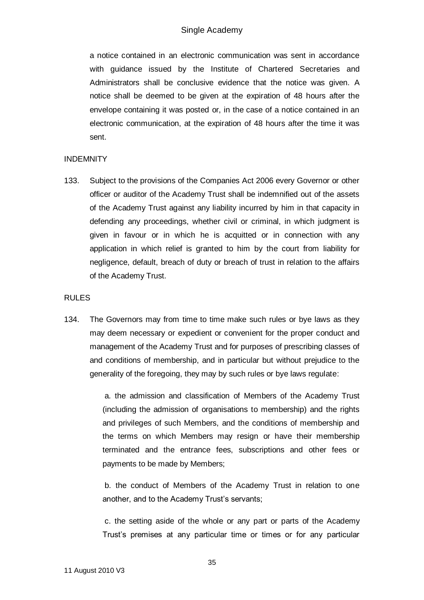a notice contained in an electronic communication was sent in accordance with guidance issued by the Institute of Chartered Secretaries and Administrators shall be conclusive evidence that the notice was given. A notice shall be deemed to be given at the expiration of 48 hours after the envelope containing it was posted or, in the case of a notice contained in an electronic communication, at the expiration of 48 hours after the time it was sent.

## **INDEMNITY**

133. Subject to the provisions of the Companies Act 2006 every Governor or other officer or auditor of the Academy Trust shall be indemnified out of the assets of the Academy Trust against any liability incurred by him in that capacity in defending any proceedings, whether civil or criminal, in which judgment is given in favour or in which he is acquitted or in connection with any application in which relief is granted to him by the court from liability for negligence, default, breach of duty or breach of trust in relation to the affairs of the Academy Trust.

### RULES

134. The Governors may from time to time make such rules or bye laws as they may deem necessary or expedient or convenient for the proper conduct and management of the Academy Trust and for purposes of prescribing classes of and conditions of membership, and in particular but without prejudice to the generality of the foregoing, they may by such rules or bye laws regulate:

> a. the admission and classification of Members of the Academy Trust (including the admission of organisations to membership) and the rights and privileges of such Members, and the conditions of membership and the terms on which Members may resign or have their membership terminated and the entrance fees, subscriptions and other fees or payments to be made by Members;

> b. the conduct of Members of the Academy Trust in relation to one another, and to the Academy Trust's servants;

> c. the setting aside of the whole or any part or parts of the Academy Trust's premises at any particular time or times or for any particular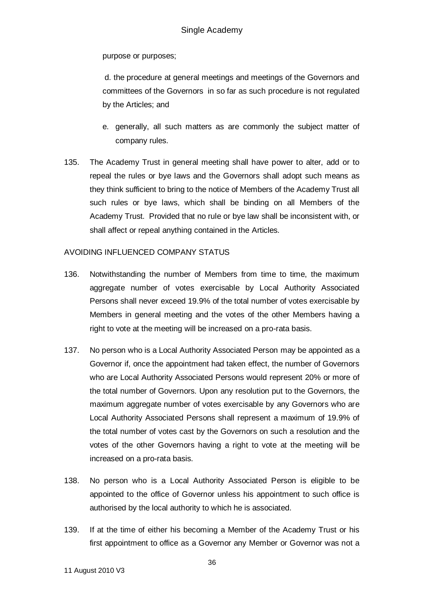purpose or purposes;

d. the procedure at general meetings and meetings of the Governors and committees of the Governors in so far as such procedure is not regulated by the Articles; and

- e. generally, all such matters as are commonly the subject matter of company rules.
- 135. The Academy Trust in general meeting shall have power to alter, add or to repeal the rules or bye laws and the Governors shall adopt such means as they think sufficient to bring to the notice of Members of the Academy Trust all such rules or bye laws, which shall be binding on all Members of the Academy Trust. Provided that no rule or bye law shall be inconsistent with, or shall affect or repeal anything contained in the Articles.

## AVOIDING INFLUENCED COMPANY STATUS

- 136. Notwithstanding the number of Members from time to time, the maximum aggregate number of votes exercisable by Local Authority Associated Persons shall never exceed 19.9% of the total number of votes exercisable by Members in general meeting and the votes of the other Members having a right to vote at the meeting will be increased on a pro-rata basis.
- 137. No person who is a Local Authority Associated Person may be appointed as a Governor if, once the appointment had taken effect, the number of Governors who are Local Authority Associated Persons would represent 20% or more of the total number of Governors. Upon any resolution put to the Governors, the maximum aggregate number of votes exercisable by any Governors who are Local Authority Associated Persons shall represent a maximum of 19.9% of the total number of votes cast by the Governors on such a resolution and the votes of the other Governors having a right to vote at the meeting will be increased on a pro-rata basis.
- 138. No person who is a Local Authority Associated Person is eligible to be appointed to the office of Governor unless his appointment to such office is authorised by the local authority to which he is associated.
- 139. If at the time of either his becoming a Member of the Academy Trust or his first appointment to office as a Governor any Member or Governor was not a